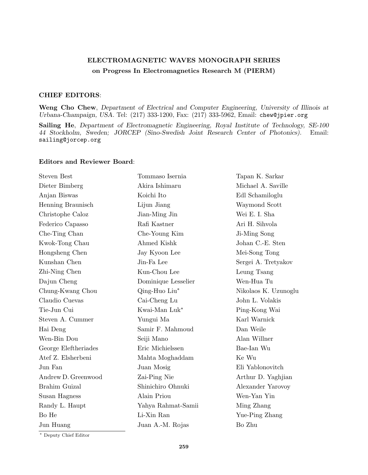## **ELECTROMAGNETIC WAVES MONOGRAPH SERIES on Progress In Electromagnetics Research M (PIERM)**

## **CHIEF EDITORS**:

**Weng Cho Chew**, *Department of Electrical and Computer Engineering, University of Illinois at Urbana-Champaign, USA.* Tel: (217) 333-1200, Fax: (217) 333-5962, Email: chew@jpier.org

**Sailing He**, *Department of Electromagnetic Engineering, Royal Institute of Technology, SE-100 44 Stockholm, Sweden; JORCEP (Sino-Swedish Joint Research Center of Photonics).* Email: sailing@jorcep.org

## **Editors and Reviewer Board**:

| <b>Steven Best</b>   | Tommaso Isernia     | Tapan K. Sarkar      |
|----------------------|---------------------|----------------------|
| Dieter Bimberg       | Akira Ishimaru      | Michael A. Saville   |
| Anjan Biswas         | Koichi Ito          | Edl Schamiloglu      |
| Henning Braunisch    | Lijun Jiang         | Waymond Scott        |
| Christophe Caloz     | Jian-Ming Jin       | Wei E. I. Sha        |
| Federico Capasso     | Rafi Kastner        | Ari H. Sihvola       |
| Che-Ting Chan        | Che-Young Kim       | Ji-Ming Song         |
| Kwok-Tong Chau       | Ahmed Kishk         | Johan C.-E. Sten     |
| Hongsheng Chen       | Jay Kyoon Lee       | Mei-Song Tong        |
| Kunshan Chen         | Jin-Fa Lee          | Sergei A. Tretyakov  |
| Zhi-Ning Chen        | Kun-Chou Lee        | Leung Tsang          |
| Dajun Cheng          | Dominique Lesselier | Wen-Hua Tu           |
| Chung-Kwang Chou     | Qing-Huo Liu*       | Nikolaos K. Uzunoglu |
| Claudio Cuevas       | Cai-Cheng Lu        | John L. Volakis      |
| Tie-Jun Cui          | Kwai-Man Luk*       | Ping-Kong Wai        |
| Steven A. Cummer     | Yungui Ma           | Karl Warnick         |
| Hai Deng             | Samir F. Mahmoud    | Dan Weile            |
| Wen-Bin Dou          | Seiji Mano          | Alan Willner         |
| George Eleftheriades | Eric Michielssen    | Bae-Ian Wu           |
| Atef Z. Elsherbeni   | Mahta Moghaddam     | Ke Wu                |
| Jun Fan              | Juan Mosig          | Eli Yablonovitch     |
| Andrew D. Greenwood  | Zai-Ping Nie        | Arthur D. Yaghjian   |
| Brahim Guizal        | Shinichiro Ohnuki   | Alexander Yarovoy    |
| Susan Hagness        | Alain Priou         | Wen-Yan Yin          |
| Randy L. Haupt       | Yahya Rahmat-Samii  | Ming Zhang           |
| Bo He                | Li-Xin Ran          | Yue-Ping Zhang       |
| Jun Huang            | Juan A.-M. Rojas    | Bo Zhu               |
|                      |                     |                      |

*∗* Deputy Chief Editor